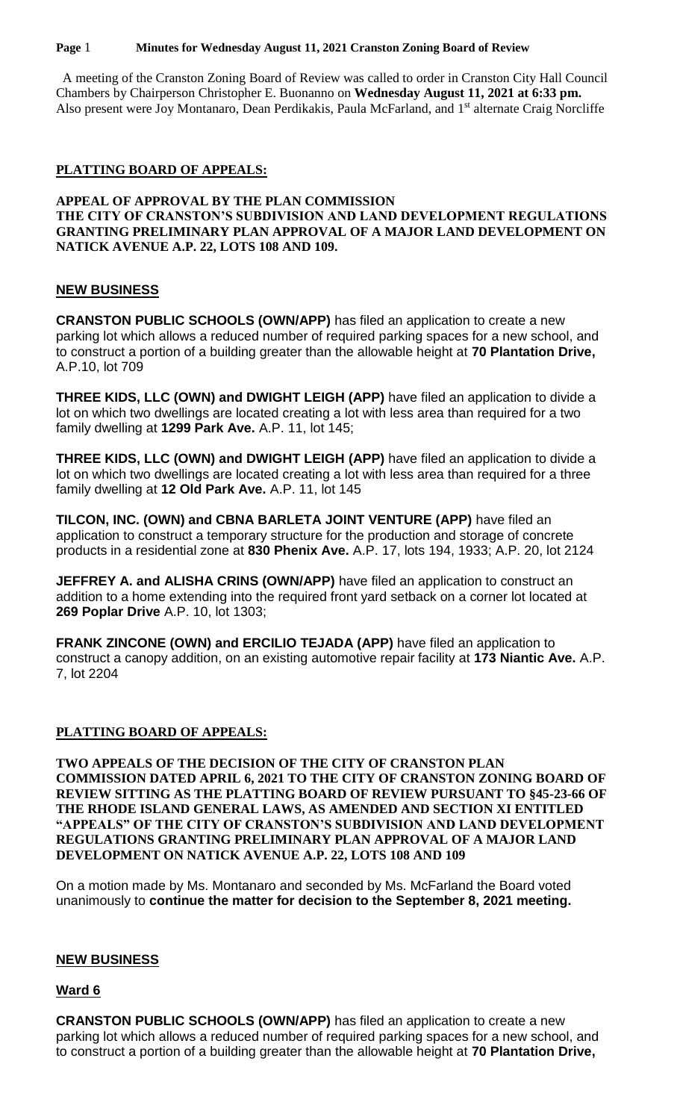#### **Page** 1 **Minutes for Wednesday August 11, 2021 Cranston Zoning Board of Review**

 A meeting of the Cranston Zoning Board of Review was called to order in Cranston City Hall Council Chambers by Chairperson Christopher E. Buonanno on **Wednesday August 11, 2021 at 6:33 pm.** Also present were Joy Montanaro, Dean Perdikakis, Paula McFarland, and 1<sup>st</sup> alternate Craig Norcliffe

## **PLATTING BOARD OF APPEALS:**

## **APPEAL OF APPROVAL BY THE PLAN COMMISSION THE CITY OF CRANSTON'S SUBDIVISION AND LAND DEVELOPMENT REGULATIONS GRANTING PRELIMINARY PLAN APPROVAL OF A MAJOR LAND DEVELOPMENT ON NATICK AVENUE A.P. 22, LOTS 108 AND 109.**

# **NEW BUSINESS**

**CRANSTON PUBLIC SCHOOLS (OWN/APP)** has filed an application to create a new parking lot which allows a reduced number of required parking spaces for a new school, and to construct a portion of a building greater than the allowable height at **70 Plantation Drive,**  A.P.10, lot 709

**THREE KIDS, LLC (OWN) and DWIGHT LEIGH (APP)** have filed an application to divide a lot on which two dwellings are located creating a lot with less area than required for a two family dwelling at **1299 Park Ave.** A.P. 11, lot 145;

**THREE KIDS, LLC (OWN) and DWIGHT LEIGH (APP)** have filed an application to divide a lot on which two dwellings are located creating a lot with less area than required for a three family dwelling at **12 Old Park Ave.** A.P. 11, lot 145

**TILCON, INC. (OWN) and CBNA BARLETA JOINT VENTURE (APP)** have filed an application to construct a temporary structure for the production and storage of concrete products in a residential zone at **830 Phenix Ave.** A.P. 17, lots 194, 1933; A.P. 20, lot 2124

**JEFFREY A. and ALISHA CRINS (OWN/APP)** have filed an application to construct an addition to a home extending into the required front yard setback on a corner lot located at **269 Poplar Drive** A.P. 10, lot 1303;

**FRANK ZINCONE (OWN) and ERCILIO TEJADA (APP)** have filed an application to construct a canopy addition, on an existing automotive repair facility at **173 Niantic Ave.** A.P. 7, lot 2204

## **PLATTING BOARD OF APPEALS:**

**TWO APPEALS OF THE DECISION OF THE CITY OF CRANSTON PLAN COMMISSION DATED APRIL 6, 2021 TO THE CITY OF CRANSTON ZONING BOARD OF REVIEW SITTING AS THE PLATTING BOARD OF REVIEW PURSUANT TO §45-23-66 OF THE RHODE ISLAND GENERAL LAWS, AS AMENDED AND SECTION XI ENTITLED "APPEALS" OF THE CITY OF CRANSTON'S SUBDIVISION AND LAND DEVELOPMENT REGULATIONS GRANTING PRELIMINARY PLAN APPROVAL OF A MAJOR LAND DEVELOPMENT ON NATICK AVENUE A.P. 22, LOTS 108 AND 109**

On a motion made by Ms. Montanaro and seconded by Ms. McFarland the Board voted unanimously to **continue the matter for decision to the September 8, 2021 meeting.**

## **NEW BUSINESS**

## **Ward 6**

**CRANSTON PUBLIC SCHOOLS (OWN/APP)** has filed an application to create a new parking lot which allows a reduced number of required parking spaces for a new school, and to construct a portion of a building greater than the allowable height at **70 Plantation Drive,**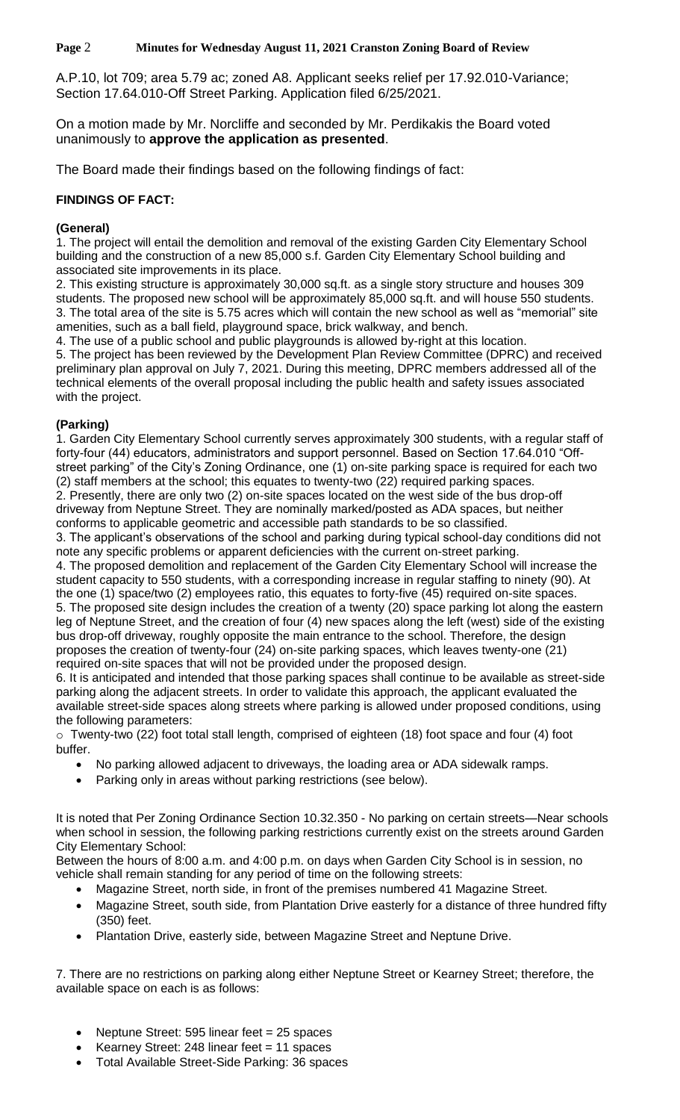**Page** 2 **Minutes for Wednesday August 11, 2021 Cranston Zoning Board of Review**

A.P.10, lot 709; area 5.79 ac; zoned A8. Applicant seeks relief per 17.92.010-Variance; Section 17.64.010-Off Street Parking. Application filed 6/25/2021.

On a motion made by Mr. Norcliffe and seconded by Mr. Perdikakis the Board voted unanimously to **approve the application as presented**.

The Board made their findings based on the following findings of fact:

# **FINDINGS OF FACT:**

## **(General)**

1. The project will entail the demolition and removal of the existing Garden City Elementary School building and the construction of a new 85,000 s.f. Garden City Elementary School building and associated site improvements in its place.

2. This existing structure is approximately 30,000 sq.ft. as a single story structure and houses 309 students. The proposed new school will be approximately 85,000 sq.ft. and will house 550 students. 3. The total area of the site is 5.75 acres which will contain the new school as well as "memorial" site amenities, such as a ball field, playground space, brick walkway, and bench.

4. The use of a public school and public playgrounds is allowed by-right at this location.

5. The project has been reviewed by the Development Plan Review Committee (DPRC) and received preliminary plan approval on July 7, 2021. During this meeting, DPRC members addressed all of the technical elements of the overall proposal including the public health and safety issues associated with the project.

# **(Parking)**

1. Garden City Elementary School currently serves approximately 300 students, with a regular staff of forty-four (44) educators, administrators and support personnel. Based on Section 17.64.010 "Offstreet parking" of the City's Zoning Ordinance, one (1) on-site parking space is required for each two (2) staff members at the school; this equates to twenty-two (22) required parking spaces. 2. Presently, there are only two (2) on-site spaces located on the west side of the bus drop-off

driveway from Neptune Street. They are nominally marked/posted as ADA spaces, but neither conforms to applicable geometric and accessible path standards to be so classified.

3. The applicant's observations of the school and parking during typical school-day conditions did not note any specific problems or apparent deficiencies with the current on-street parking.

4. The proposed demolition and replacement of the Garden City Elementary School will increase the student capacity to 550 students, with a corresponding increase in regular staffing to ninety (90). At the one (1) space/two (2) employees ratio, this equates to forty-five (45) required on-site spaces. 5. The proposed site design includes the creation of a twenty (20) space parking lot along the eastern leg of Neptune Street, and the creation of four (4) new spaces along the left (west) side of the existing bus drop-off driveway, roughly opposite the main entrance to the school. Therefore, the design proposes the creation of twenty-four (24) on-site parking spaces, which leaves twenty-one (21) required on-site spaces that will not be provided under the proposed design.

6. It is anticipated and intended that those parking spaces shall continue to be available as street-side parking along the adjacent streets. In order to validate this approach, the applicant evaluated the available street-side spaces along streets where parking is allowed under proposed conditions, using the following parameters:

o Twenty-two (22) foot total stall length, comprised of eighteen (18) foot space and four (4) foot buffer.

- No parking allowed adjacent to driveways, the loading area or ADA sidewalk ramps.
- Parking only in areas without parking restrictions (see below).

It is noted that Per Zoning Ordinance Section 10.32.350 - No parking on certain streets—Near schools when school in session, the following parking restrictions currently exist on the streets around Garden City Elementary School:

Between the hours of 8:00 a.m. and 4:00 p.m. on days when Garden City School is in session, no vehicle shall remain standing for any period of time on the following streets:

- Magazine Street, north side, in front of the premises numbered 41 Magazine Street.
- Magazine Street, south side, from Plantation Drive easterly for a distance of three hundred fifty (350) feet.
- Plantation Drive, easterly side, between Magazine Street and Neptune Drive.

7. There are no restrictions on parking along either Neptune Street or Kearney Street; therefore, the available space on each is as follows:

- Neptune Street: 595 linear feet = 25 spaces
- Kearney Street: 248 linear feet = 11 spaces
- Total Available Street-Side Parking: 36 spaces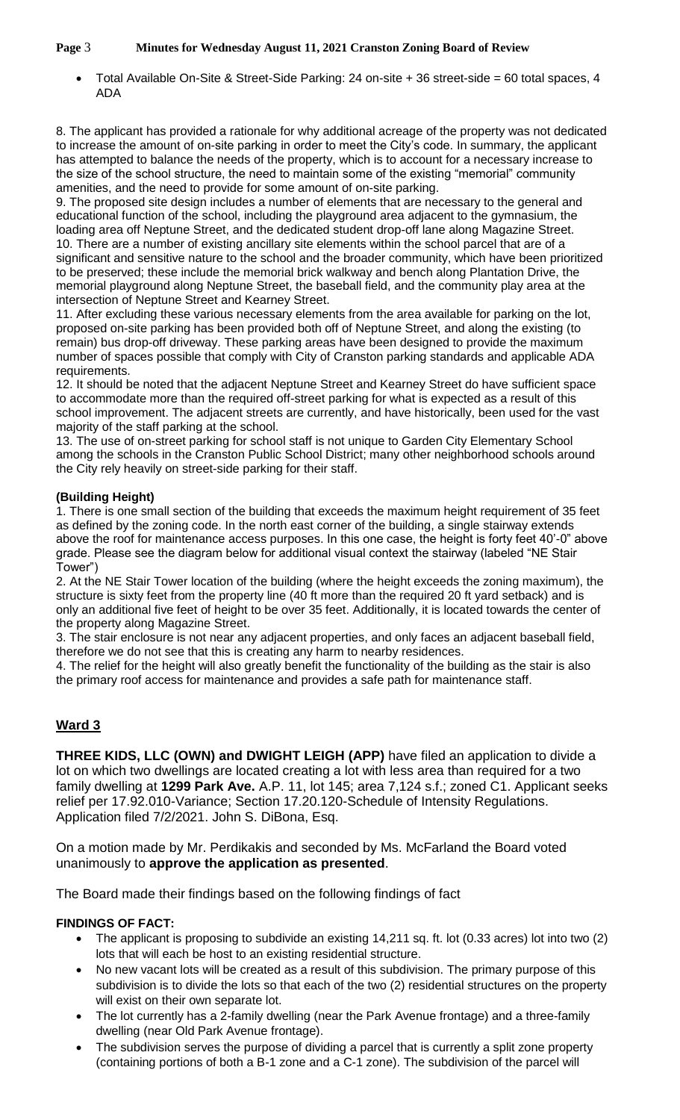**Page** 3 **Minutes for Wednesday August 11, 2021 Cranston Zoning Board of Review**

 Total Available On-Site & Street-Side Parking: 24 on-site + 36 street-side = 60 total spaces, 4 ADA

8. The applicant has provided a rationale for why additional acreage of the property was not dedicated to increase the amount of on-site parking in order to meet the City's code. In summary, the applicant has attempted to balance the needs of the property, which is to account for a necessary increase to the size of the school structure, the need to maintain some of the existing "memorial" community amenities, and the need to provide for some amount of on-site parking.

9. The proposed site design includes a number of elements that are necessary to the general and educational function of the school, including the playground area adjacent to the gymnasium, the loading area off Neptune Street, and the dedicated student drop-off lane along Magazine Street. 10. There are a number of existing ancillary site elements within the school parcel that are of a significant and sensitive nature to the school and the broader community, which have been prioritized to be preserved; these include the memorial brick walkway and bench along Plantation Drive, the memorial playground along Neptune Street, the baseball field, and the community play area at the intersection of Neptune Street and Kearney Street.

11. After excluding these various necessary elements from the area available for parking on the lot, proposed on-site parking has been provided both off of Neptune Street, and along the existing (to remain) bus drop-off driveway. These parking areas have been designed to provide the maximum number of spaces possible that comply with City of Cranston parking standards and applicable ADA requirements.

12. It should be noted that the adjacent Neptune Street and Kearney Street do have sufficient space to accommodate more than the required off-street parking for what is expected as a result of this school improvement. The adjacent streets are currently, and have historically, been used for the vast majority of the staff parking at the school.

13. The use of on-street parking for school staff is not unique to Garden City Elementary School among the schools in the Cranston Public School District; many other neighborhood schools around the City rely heavily on street-side parking for their staff.

# **(Building Height)**

1. There is one small section of the building that exceeds the maximum height requirement of 35 feet as defined by the zoning code. In the north east corner of the building, a single stairway extends above the roof for maintenance access purposes. In this one case, the height is forty feet 40'-0" above grade. Please see the diagram below for additional visual context the stairway (labeled "NE Stair Tower")

2. At the NE Stair Tower location of the building (where the height exceeds the zoning maximum), the structure is sixty feet from the property line (40 ft more than the required 20 ft yard setback) and is only an additional five feet of height to be over 35 feet. Additionally, it is located towards the center of the property along Magazine Street.

3. The stair enclosure is not near any adjacent properties, and only faces an adjacent baseball field, therefore we do not see that this is creating any harm to nearby residences.

4. The relief for the height will also greatly benefit the functionality of the building as the stair is also the primary roof access for maintenance and provides a safe path for maintenance staff.

# **Ward 3**

**THREE KIDS, LLC (OWN) and DWIGHT LEIGH (APP)** have filed an application to divide a lot on which two dwellings are located creating a lot with less area than required for a two family dwelling at **1299 Park Ave.** A.P. 11, lot 145; area 7,124 s.f.; zoned C1. Applicant seeks relief per 17.92.010-Variance; Section 17.20.120-Schedule of Intensity Regulations. Application filed 7/2/2021. John S. DiBona, Esq.

On a motion made by Mr. Perdikakis and seconded by Ms. McFarland the Board voted unanimously to **approve the application as presented**.

The Board made their findings based on the following findings of fact

# **FINDINGS OF FACT:**

- The applicant is proposing to subdivide an existing 14,211 sq. ft. lot (0.33 acres) lot into two (2) lots that will each be host to an existing residential structure.
- No new vacant lots will be created as a result of this subdivision. The primary purpose of this subdivision is to divide the lots so that each of the two (2) residential structures on the property will exist on their own separate lot.
- The lot currently has a 2-family dwelling (near the Park Avenue frontage) and a three-family dwelling (near Old Park Avenue frontage).
- The subdivision serves the purpose of dividing a parcel that is currently a split zone property (containing portions of both a B-1 zone and a C-1 zone). The subdivision of the parcel will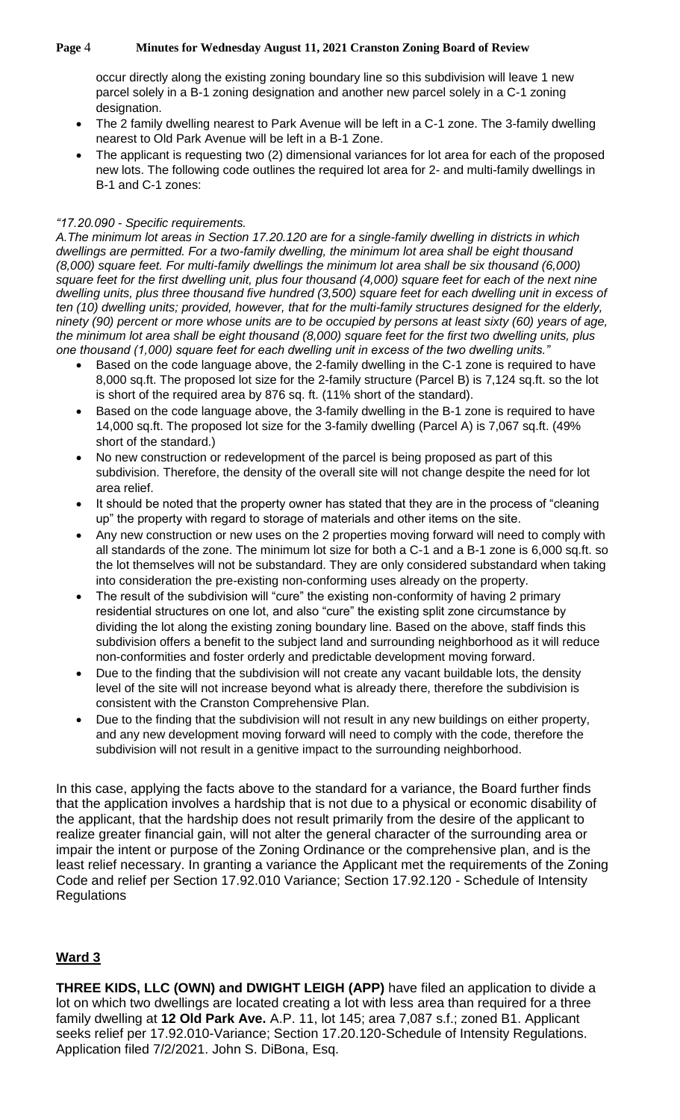#### **Page** 4 **Minutes for Wednesday August 11, 2021 Cranston Zoning Board of Review**

occur directly along the existing zoning boundary line so this subdivision will leave 1 new parcel solely in a B-1 zoning designation and another new parcel solely in a C-1 zoning designation.

- The 2 family dwelling nearest to Park Avenue will be left in a C-1 zone. The 3-family dwelling nearest to Old Park Avenue will be left in a B-1 Zone.
- The applicant is requesting two (2) dimensional variances for lot area for each of the proposed new lots. The following code outlines the required lot area for 2- and multi-family dwellings in B-1 and C-1 zones:

# *"17.20.090 - Specific requirements.*

*A.The minimum lot areas in Section 17.20.120 are for a single-family dwelling in districts in which dwellings are permitted. For a two-family dwelling, the minimum lot area shall be eight thousand (8,000) square feet. For multi-family dwellings the minimum lot area shall be six thousand (6,000) square feet for the first dwelling unit, plus four thousand (4,000) square feet for each of the next nine dwelling units, plus three thousand five hundred (3,500) square feet for each dwelling unit in excess of ten (10) dwelling units; provided, however, that for the multi-family structures designed for the elderly, ninety (90) percent or more whose units are to be occupied by persons at least sixty (60) years of age, the minimum lot area shall be eight thousand (8,000) square feet for the first two dwelling units, plus one thousand (1,000) square feet for each dwelling unit in excess of the two dwelling units."* 

- Based on the code language above, the 2-family dwelling in the C-1 zone is required to have 8,000 sq.ft. The proposed lot size for the 2-family structure (Parcel B) is 7,124 sq.ft. so the lot is short of the required area by 876 sq. ft. (11% short of the standard).
- Based on the code language above, the 3-family dwelling in the B-1 zone is required to have 14,000 sq.ft. The proposed lot size for the 3-family dwelling (Parcel A) is 7,067 sq.ft. (49% short of the standard.)
- No new construction or redevelopment of the parcel is being proposed as part of this subdivision. Therefore, the density of the overall site will not change despite the need for lot area relief.
- It should be noted that the property owner has stated that they are in the process of "cleaning up" the property with regard to storage of materials and other items on the site.
- Any new construction or new uses on the 2 properties moving forward will need to comply with all standards of the zone. The minimum lot size for both a C-1 and a B-1 zone is 6,000 sq.ft. so the lot themselves will not be substandard. They are only considered substandard when taking into consideration the pre-existing non-conforming uses already on the property.
- The result of the subdivision will "cure" the existing non-conformity of having 2 primary residential structures on one lot, and also "cure" the existing split zone circumstance by dividing the lot along the existing zoning boundary line. Based on the above, staff finds this subdivision offers a benefit to the subject land and surrounding neighborhood as it will reduce non-conformities and foster orderly and predictable development moving forward.
- Due to the finding that the subdivision will not create any vacant buildable lots, the density level of the site will not increase beyond what is already there, therefore the subdivision is consistent with the Cranston Comprehensive Plan.
- Due to the finding that the subdivision will not result in any new buildings on either property, and any new development moving forward will need to comply with the code, therefore the subdivision will not result in a genitive impact to the surrounding neighborhood.

In this case, applying the facts above to the standard for a variance, the Board further finds that the application involves a hardship that is not due to a physical or economic disability of the applicant, that the hardship does not result primarily from the desire of the applicant to realize greater financial gain, will not alter the general character of the surrounding area or impair the intent or purpose of the Zoning Ordinance or the comprehensive plan, and is the least relief necessary. In granting a variance the Applicant met the requirements of the Zoning Code and relief per Section 17.92.010 Variance; Section 17.92.120 - Schedule of Intensity **Regulations** 

# **Ward 3**

**THREE KIDS, LLC (OWN) and DWIGHT LEIGH (APP)** have filed an application to divide a lot on which two dwellings are located creating a lot with less area than required for a three family dwelling at **12 Old Park Ave.** A.P. 11, lot 145; area 7,087 s.f.; zoned B1. Applicant seeks relief per 17.92.010-Variance; Section 17.20.120-Schedule of Intensity Regulations. Application filed 7/2/2021. John S. DiBona, Esq.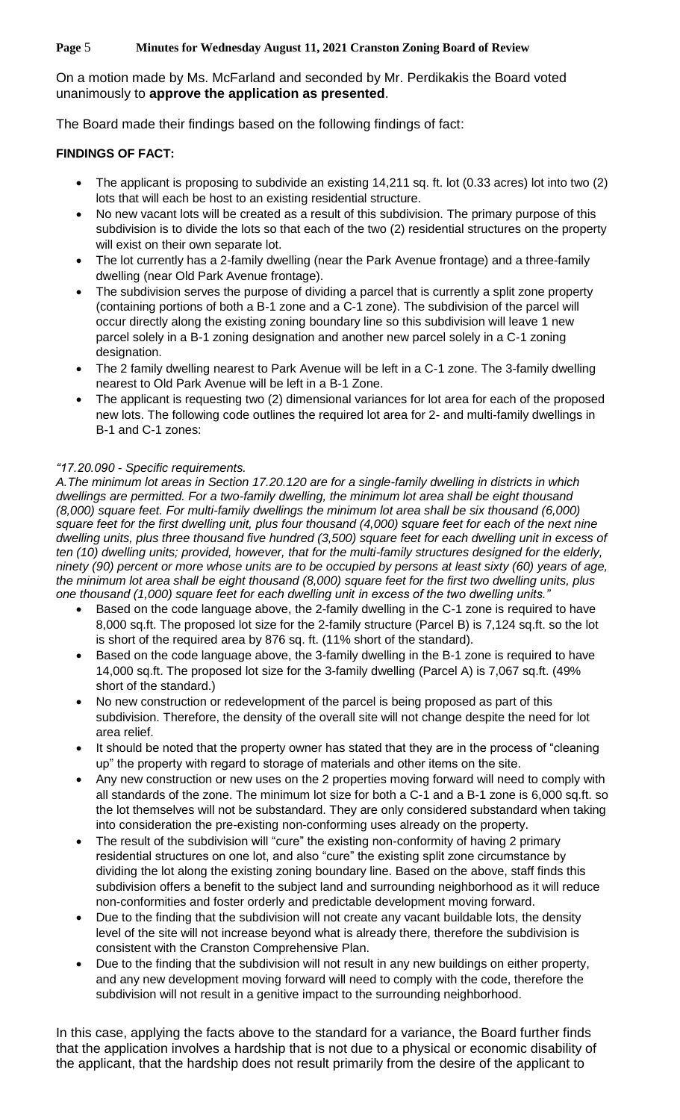**Page** 5 **Minutes for Wednesday August 11, 2021 Cranston Zoning Board of Review**

On a motion made by Ms. McFarland and seconded by Mr. Perdikakis the Board voted unanimously to **approve the application as presented**.

The Board made their findings based on the following findings of fact:

# **FINDINGS OF FACT:**

- The applicant is proposing to subdivide an existing 14,211 sq. ft. lot (0.33 acres) lot into two (2) lots that will each be host to an existing residential structure.
- No new vacant lots will be created as a result of this subdivision. The primary purpose of this subdivision is to divide the lots so that each of the two (2) residential structures on the property will exist on their own separate lot.
- The lot currently has a 2-family dwelling (near the Park Avenue frontage) and a three-family dwelling (near Old Park Avenue frontage).
- The subdivision serves the purpose of dividing a parcel that is currently a split zone property (containing portions of both a B-1 zone and a C-1 zone). The subdivision of the parcel will occur directly along the existing zoning boundary line so this subdivision will leave 1 new parcel solely in a B-1 zoning designation and another new parcel solely in a C-1 zoning designation.
- The 2 family dwelling nearest to Park Avenue will be left in a C-1 zone. The 3-family dwelling nearest to Old Park Avenue will be left in a B-1 Zone.
- The applicant is requesting two (2) dimensional variances for lot area for each of the proposed new lots. The following code outlines the required lot area for 2- and multi-family dwellings in B-1 and C-1 zones:

# *"17.20.090 - Specific requirements.*

*A.The minimum lot areas in Section 17.20.120 are for a single-family dwelling in districts in which dwellings are permitted. For a two-family dwelling, the minimum lot area shall be eight thousand (8,000) square feet. For multi-family dwellings the minimum lot area shall be six thousand (6,000) square feet for the first dwelling unit, plus four thousand (4,000) square feet for each of the next nine dwelling units, plus three thousand five hundred (3,500) square feet for each dwelling unit in excess of ten (10) dwelling units; provided, however, that for the multi-family structures designed for the elderly, ninety (90) percent or more whose units are to be occupied by persons at least sixty (60) years of age, the minimum lot area shall be eight thousand (8,000) square feet for the first two dwelling units, plus one thousand (1,000) square feet for each dwelling unit in excess of the two dwelling units."* 

- Based on the code language above, the 2-family dwelling in the C-1 zone is required to have 8,000 sq.ft. The proposed lot size for the 2-family structure (Parcel B) is 7,124 sq.ft. so the lot is short of the required area by 876 sq. ft. (11% short of the standard).
- Based on the code language above, the 3-family dwelling in the B-1 zone is required to have 14,000 sq.ft. The proposed lot size for the 3-family dwelling (Parcel A) is 7,067 sq.ft. (49% short of the standard.)
- No new construction or redevelopment of the parcel is being proposed as part of this subdivision. Therefore, the density of the overall site will not change despite the need for lot area relief.
- It should be noted that the property owner has stated that they are in the process of "cleaning up" the property with regard to storage of materials and other items on the site.
- Any new construction or new uses on the 2 properties moving forward will need to comply with all standards of the zone. The minimum lot size for both a C-1 and a B-1 zone is 6,000 sq.ft. so the lot themselves will not be substandard. They are only considered substandard when taking into consideration the pre-existing non-conforming uses already on the property.
- The result of the subdivision will "cure" the existing non-conformity of having 2 primary residential structures on one lot, and also "cure" the existing split zone circumstance by dividing the lot along the existing zoning boundary line. Based on the above, staff finds this subdivision offers a benefit to the subject land and surrounding neighborhood as it will reduce non-conformities and foster orderly and predictable development moving forward.
- Due to the finding that the subdivision will not create any vacant buildable lots, the density level of the site will not increase beyond what is already there, therefore the subdivision is consistent with the Cranston Comprehensive Plan.
- Due to the finding that the subdivision will not result in any new buildings on either property, and any new development moving forward will need to comply with the code, therefore the subdivision will not result in a genitive impact to the surrounding neighborhood.

In this case, applying the facts above to the standard for a variance, the Board further finds that the application involves a hardship that is not due to a physical or economic disability of the applicant, that the hardship does not result primarily from the desire of the applicant to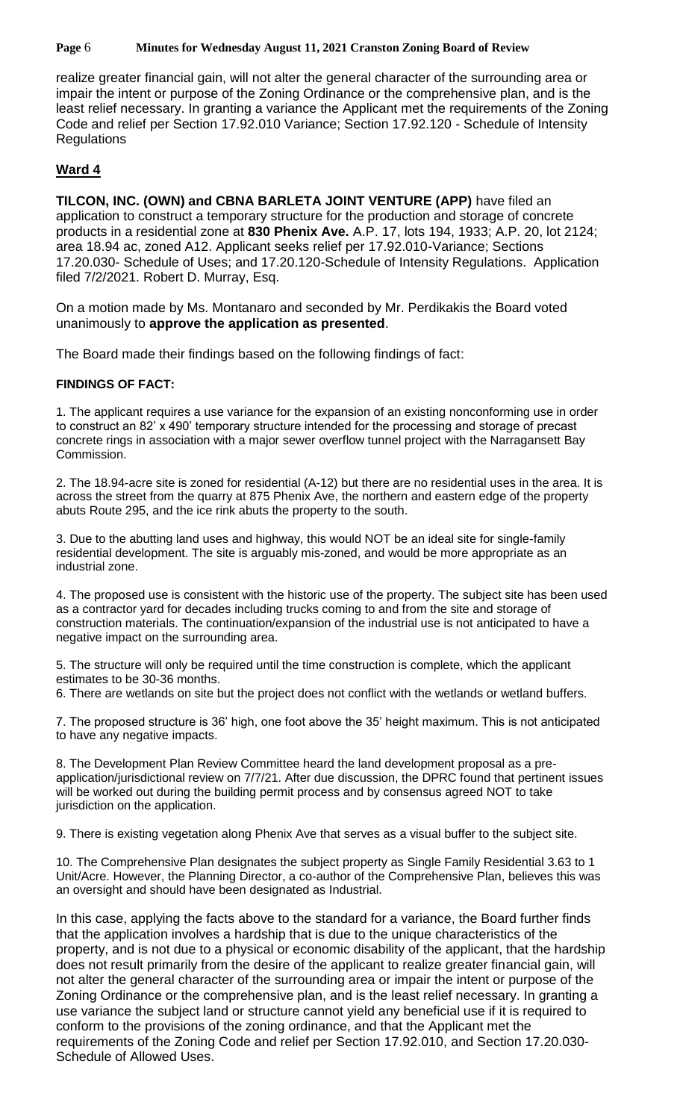**Page** 6 **Minutes for Wednesday August 11, 2021 Cranston Zoning Board of Review**

realize greater financial gain, will not alter the general character of the surrounding area or impair the intent or purpose of the Zoning Ordinance or the comprehensive plan, and is the least relief necessary. In granting a variance the Applicant met the requirements of the Zoning Code and relief per Section 17.92.010 Variance; Section 17.92.120 - Schedule of Intensity **Regulations** 

# **Ward 4**

**TILCON, INC. (OWN) and CBNA BARLETA JOINT VENTURE (APP)** have filed an application to construct a temporary structure for the production and storage of concrete products in a residential zone at **830 Phenix Ave.** A.P. 17, lots 194, 1933; A.P. 20, lot 2124; area 18.94 ac, zoned A12. Applicant seeks relief per 17.92.010-Variance; Sections 17.20.030- Schedule of Uses; and 17.20.120-Schedule of Intensity Regulations. Application filed 7/2/2021. Robert D. Murray, Esq.

On a motion made by Ms. Montanaro and seconded by Mr. Perdikakis the Board voted unanimously to **approve the application as presented**.

The Board made their findings based on the following findings of fact:

## **FINDINGS OF FACT:**

1. The applicant requires a use variance for the expansion of an existing nonconforming use in order to construct an 82' x 490' temporary structure intended for the processing and storage of precast concrete rings in association with a major sewer overflow tunnel project with the Narragansett Bay Commission.

2. The 18.94-acre site is zoned for residential (A-12) but there are no residential uses in the area. It is across the street from the quarry at 875 Phenix Ave, the northern and eastern edge of the property abuts Route 295, and the ice rink abuts the property to the south.

3. Due to the abutting land uses and highway, this would NOT be an ideal site for single-family residential development. The site is arguably mis-zoned, and would be more appropriate as an industrial zone.

4. The proposed use is consistent with the historic use of the property. The subject site has been used as a contractor yard for decades including trucks coming to and from the site and storage of construction materials. The continuation/expansion of the industrial use is not anticipated to have a negative impact on the surrounding area.

5. The structure will only be required until the time construction is complete, which the applicant estimates to be 30-36 months.

6. There are wetlands on site but the project does not conflict with the wetlands or wetland buffers.

7. The proposed structure is 36' high, one foot above the 35' height maximum. This is not anticipated to have any negative impacts.

8. The Development Plan Review Committee heard the land development proposal as a preapplication/jurisdictional review on 7/7/21. After due discussion, the DPRC found that pertinent issues will be worked out during the building permit process and by consensus agreed NOT to take jurisdiction on the application.

9. There is existing vegetation along Phenix Ave that serves as a visual buffer to the subject site.

10. The Comprehensive Plan designates the subject property as Single Family Residential 3.63 to 1 Unit/Acre. However, the Planning Director, a co-author of the Comprehensive Plan, believes this was an oversight and should have been designated as Industrial.

In this case, applying the facts above to the standard for a variance, the Board further finds that the application involves a hardship that is due to the unique characteristics of the property, and is not due to a physical or economic disability of the applicant, that the hardship does not result primarily from the desire of the applicant to realize greater financial gain, will not alter the general character of the surrounding area or impair the intent or purpose of the Zoning Ordinance or the comprehensive plan, and is the least relief necessary. In granting a use variance the subject land or structure cannot yield any beneficial use if it is required to conform to the provisions of the zoning ordinance, and that the Applicant met the requirements of the Zoning Code and relief per Section 17.92.010, and Section 17.20.030- Schedule of Allowed Uses.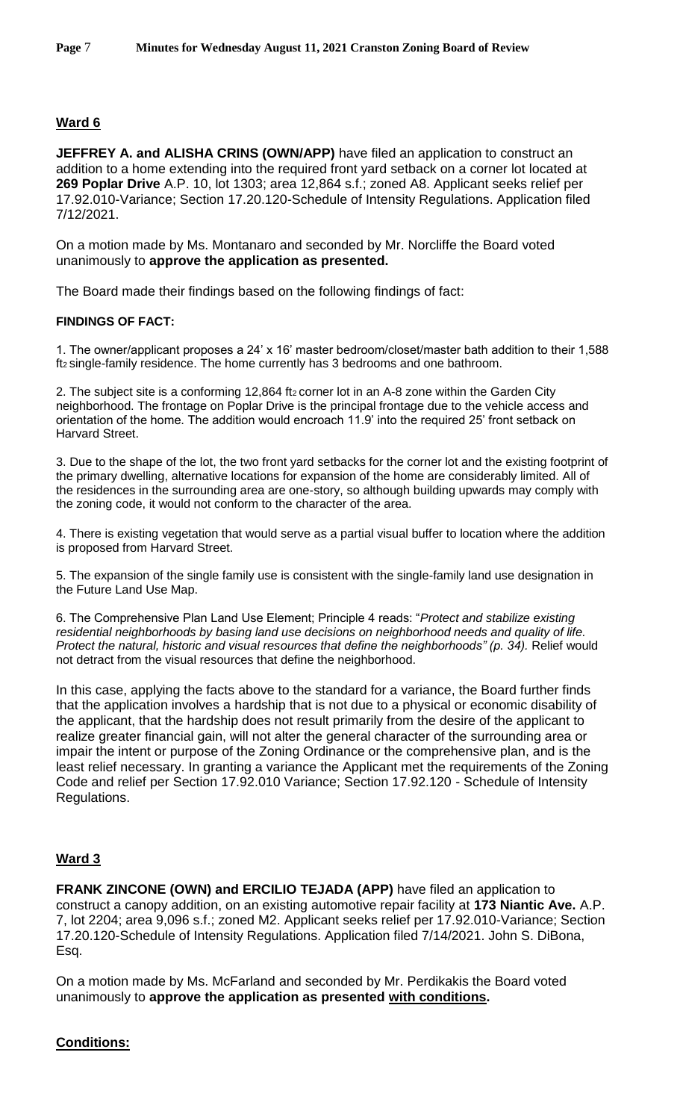# **Ward 6**

**JEFFREY A. and ALISHA CRINS (OWN/APP)** have filed an application to construct an addition to a home extending into the required front yard setback on a corner lot located at **269 Poplar Drive** A.P. 10, lot 1303; area 12,864 s.f.; zoned A8. Applicant seeks relief per 17.92.010-Variance; Section 17.20.120-Schedule of Intensity Regulations. Application filed 7/12/2021.

On a motion made by Ms. Montanaro and seconded by Mr. Norcliffe the Board voted unanimously to **approve the application as presented.**

The Board made their findings based on the following findings of fact:

## **FINDINGS OF FACT:**

1. The owner/applicant proposes a 24' x 16' master bedroom/closet/master bath addition to their 1,588 ft2 single-family residence. The home currently has 3 bedrooms and one bathroom.

2. The subject site is a conforming 12,864 ft<sub>2</sub> corner lot in an A-8 zone within the Garden City neighborhood. The frontage on Poplar Drive is the principal frontage due to the vehicle access and orientation of the home. The addition would encroach 11.9' into the required 25' front setback on Harvard Street.

3. Due to the shape of the lot, the two front yard setbacks for the corner lot and the existing footprint of the primary dwelling, alternative locations for expansion of the home are considerably limited. All of the residences in the surrounding area are one-story, so although building upwards may comply with the zoning code, it would not conform to the character of the area.

4. There is existing vegetation that would serve as a partial visual buffer to location where the addition is proposed from Harvard Street.

5. The expansion of the single family use is consistent with the single-family land use designation in the Future Land Use Map.

6. The Comprehensive Plan Land Use Element; Principle 4 reads: "*Protect and stabilize existing residential neighborhoods by basing land use decisions on neighborhood needs and quality of life. Protect the natural, historic and visual resources that define the neighborhoods" (p. 34).* Relief would not detract from the visual resources that define the neighborhood.

In this case, applying the facts above to the standard for a variance, the Board further finds that the application involves a hardship that is not due to a physical or economic disability of the applicant, that the hardship does not result primarily from the desire of the applicant to realize greater financial gain, will not alter the general character of the surrounding area or impair the intent or purpose of the Zoning Ordinance or the comprehensive plan, and is the least relief necessary. In granting a variance the Applicant met the requirements of the Zoning Code and relief per Section 17.92.010 Variance; Section 17.92.120 - Schedule of Intensity Regulations.

## **Ward 3**

**FRANK ZINCONE (OWN) and ERCILIO TEJADA (APP)** have filed an application to construct a canopy addition, on an existing automotive repair facility at **173 Niantic Ave.** A.P. 7, lot 2204; area 9,096 s.f.; zoned M2. Applicant seeks relief per 17.92.010-Variance; Section 17.20.120-Schedule of Intensity Regulations. Application filed 7/14/2021. John S. DiBona, Esq.

On a motion made by Ms. McFarland and seconded by Mr. Perdikakis the Board voted unanimously to **approve the application as presented with conditions.**

## **Conditions:**